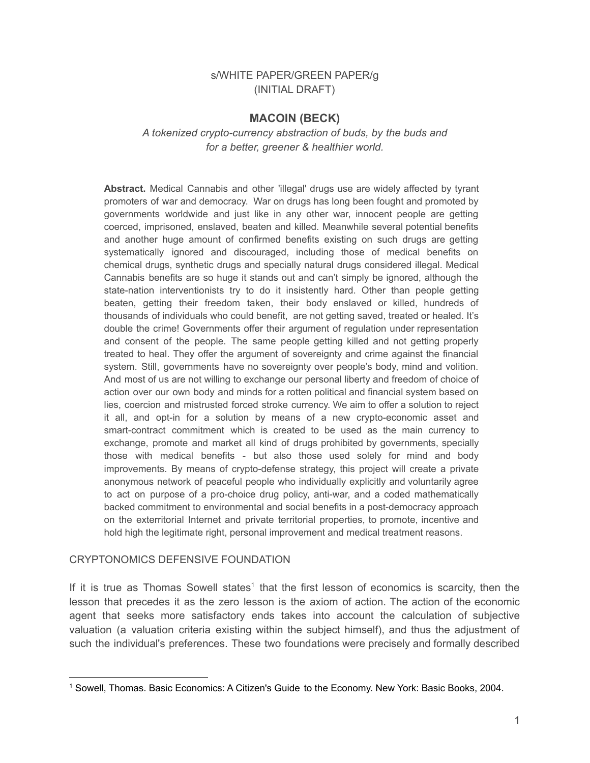## s/WHITE PAPER/GREEN PAPER/g (INITIAL DRAFT)

## **MACOIN (BECK)**

### *A tokenized crypto-currency abstraction of buds, by the buds and for a better, greener & healthier world.*

**Abstract.** Medical Cannabis and other 'illegal' drugs use are widely affected by tyrant promoters of war and democracy. War on drugs has long been fought and promoted by governments worldwide and just like in any other war, innocent people are getting coerced, imprisoned, enslaved, beaten and killed. Meanwhile several potential benefits and another huge amount of confirmed benefits existing on such drugs are getting systematically ignored and discouraged, including those of medical benefits on chemical drugs, synthetic drugs and specially natural drugs considered illegal. Medical Cannabis benefits are so huge it stands out and can't simply be ignored, although the state-nation interventionists try to do it insistently hard. Other than people getting beaten, getting their freedom taken, their body enslaved or killed, hundreds of thousands of individuals who could benefit, are not getting saved, treated or healed. It's double the crime! Governments offer their argument of regulation under representation and consent of the people. The same people getting killed and not getting properly treated to heal. They offer the argument of sovereignty and crime against the financial system. Still, governments have no sovereignty over people's body, mind and volition. And most of us are not willing to exchange our personal liberty and freedom of choice of action over our own body and minds for a rotten political and financial system based on lies, coercion and mistrusted forced stroke currency. We aim to offer a solution to reject it all, and opt-in for a solution by means of a new crypto-economic asset and smart-contract commitment which is created to be used as the main currency to exchange, promote and market all kind of drugs prohibited by governments, specially those with medical benefits - but also those used solely for mind and body improvements. By means of crypto-defense strategy, this project will create a private anonymous network of peaceful people who individually explicitly and voluntarily agree to act on purpose of a pro-choice drug policy, anti-war, and a coded mathematically backed commitment to environmental and social benefits in a post-democracy approach on the exterritorial Internet and private territorial properties, to promote, incentive and hold high the legitimate right, personal improvement and medical treatment reasons.

#### CRYPTONOMICS DEFENSIVE FOUNDATION

If it is true as Thomas Sowell states<sup>1</sup> that the first lesson of economics is scarcity, then the lesson that precedes it as the zero lesson is the axiom of action. The action of the economic agent that seeks more satisfactory ends takes into account the calculation of subjective valuation (a valuation criteria existing within the subject himself), and thus the adjustment of such the individual's preferences. These two foundations were precisely and formally described

<sup>1</sup> Sowell, Thomas. Basic Economics: A Citizen's Guide to the Economy. New York: Basic Books, 2004.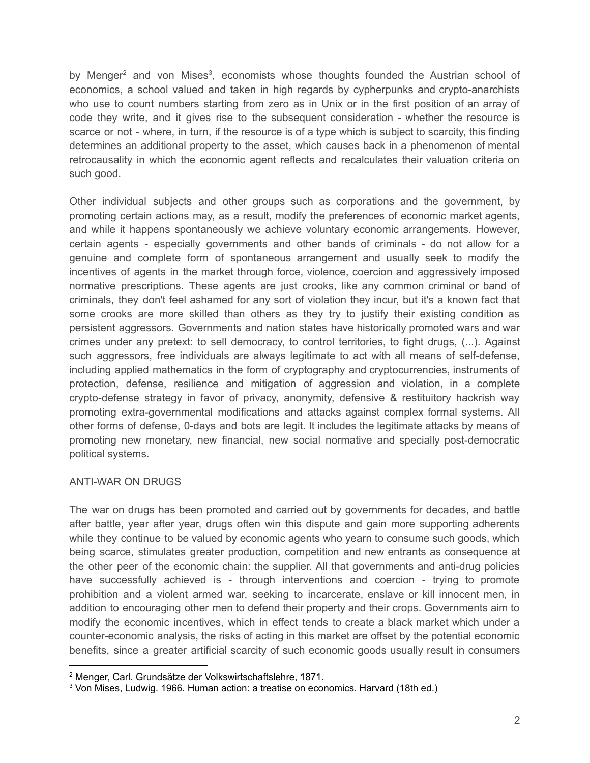by Menger<sup>2</sup> and von Mises<sup>3</sup>, economists whose thoughts founded the Austrian school of economics, a school valued and taken in high regards by cypherpunks and crypto-anarchists who use to count numbers starting from zero as in Unix or in the first position of an array of code they write, and it gives rise to the subsequent consideration - whether the resource is scarce or not - where, in turn, if the resource is of a type which is subject to scarcity, this finding determines an additional property to the asset, which causes back in a phenomenon of mental retrocausality in which the economic agent reflects and recalculates their valuation criteria on such good.

Other individual subjects and other groups such as corporations and the government, by promoting certain actions may, as a result, modify the preferences of economic market agents, and while it happens spontaneously we achieve voluntary economic arrangements. However, certain agents - especially governments and other bands of criminals - do not allow for a genuine and complete form of spontaneous arrangement and usually seek to modify the incentives of agents in the market through force, violence, coercion and aggressively imposed normative prescriptions. These agents are just crooks, like any common criminal or band of criminals, they don't feel ashamed for any sort of violation they incur, but it's a known fact that some crooks are more skilled than others as they try to justify their existing condition as persistent aggressors. Governments and nation states have historically promoted wars and war crimes under any pretext: to sell democracy, to control territories, to fight drugs, (...). Against such aggressors, free individuals are always legitimate to act with all means of self-defense, including applied mathematics in the form of cryptography and cryptocurrencies, instruments of protection, defense, resilience and mitigation of aggression and violation, in a complete crypto-defense strategy in favor of privacy, anonymity, defensive & restituitory hackrish way promoting extra-governmental modifications and attacks against complex formal systems. All other forms of defense, 0-days and bots are legit. It includes the legitimate attacks by means of promoting new monetary, new financial, new social normative and specially post-democratic political systems.

### ANTI-WAR ON DRUGS

The war on drugs has been promoted and carried out by governments for decades, and battle after battle, year after year, drugs often win this dispute and gain more supporting adherents while they continue to be valued by economic agents who yearn to consume such goods, which being scarce, stimulates greater production, competition and new entrants as consequence at the other peer of the economic chain: the supplier. All that governments and anti-drug policies have successfully achieved is - through interventions and coercion - trying to promote prohibition and a violent armed war, seeking to incarcerate, enslave or kill innocent men, in addition to encouraging other men to defend their property and their crops. Governments aim to modify the economic incentives, which in effect tends to create a black market which under a counter-economic analysis, the risks of acting in this market are offset by the potential economic benefits, since a greater artificial scarcity of such economic goods usually result in consumers

<sup>2</sup> Menger, Carl. Grundsätze der Volkswirtschaftslehre, 1871.

<sup>3</sup> Von Mises, Ludwig. 1966. Human action: a treatise on economics. Harvard (18th ed.)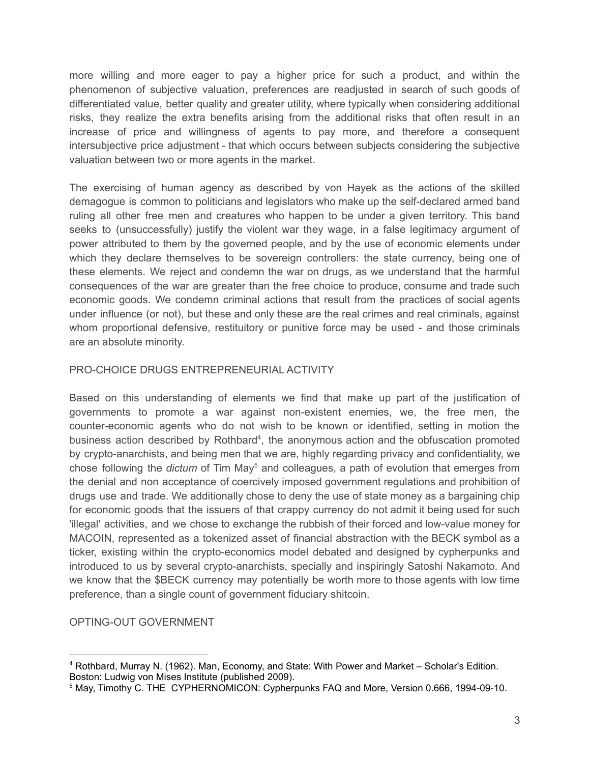more willing and more eager to pay a higher price for such a product, and within the phenomenon of subjective valuation, preferences are readjusted in search of such goods of differentiated value, better quality and greater utility, where typically when considering additional risks, they realize the extra benefits arising from the additional risks that often result in an increase of price and willingness of agents to pay more, and therefore a consequent intersubjective price adjustment - that which occurs between subjects considering the subjective valuation between two or more agents in the market.

The exercising of human agency as described by von Hayek as the actions of the skilled demagogue is common to politicians and legislators who make up the self-declared armed band ruling all other free men and creatures who happen to be under a given territory. This band seeks to (unsuccessfully) justify the violent war they wage, in a false legitimacy argument of power attributed to them by the governed people, and by the use of economic elements under which they declare themselves to be sovereign controllers: the state currency, being one of these elements. We reject and condemn the war on drugs, as we understand that the harmful consequences of the war are greater than the free choice to produce, consume and trade such economic goods. We condemn criminal actions that result from the practices of social agents under influence (or not), but these and only these are the real crimes and real criminals, against whom proportional defensive, restituitory or punitive force may be used - and those criminals are an absolute minority.

# PRO-CHOICE DRUGS ENTREPRENEURIAL ACTIVITY

Based on this understanding of elements we find that make up part of the justification of governments to promote a war against non-existent enemies, we, the free men, the counter-economic agents who do not wish to be known or identified, setting in motion the business action described by Rothbard<sup>4</sup>, the anonymous action and the obfuscation promoted by crypto-anarchists, and being men that we are, highly regarding privacy and confidentiality, we chose following the *dictum* of Tim May <sup>5</sup> and colleagues, a path of evolution that emerges from the denial and non acceptance of coercively imposed government regulations and prohibition of drugs use and trade. We additionally chose to deny the use of state money as a bargaining chip for economic goods that the issuers of that crappy currency do not admit it being used for such 'illegal' activities, and we chose to exchange the rubbish of their forced and low-value money for MACOIN, represented as a tokenized asset of financial abstraction with the BECK symbol as a ticker, existing within the crypto-economics model debated and designed by cypherpunks and introduced to us by several crypto-anarchists, specially and inspiringly Satoshi Nakamoto. And we know that the \$BECK currency may potentially be worth more to those agents with low time preference, than a single count of government fiduciary shitcoin.

OPTING-OUT GOVERNMENT

<sup>4</sup> Rothbard, Murray N. (1962). Man, Economy, and State: With Power and Market – Scholar's Edition. Boston: Ludwig von Mises Institute (published 2009).

<sup>&</sup>lt;sup>5</sup> May, Timothy C. THE CYPHERNOMICON: Cypherpunks FAQ and More, Version 0.666, 1994-09-10.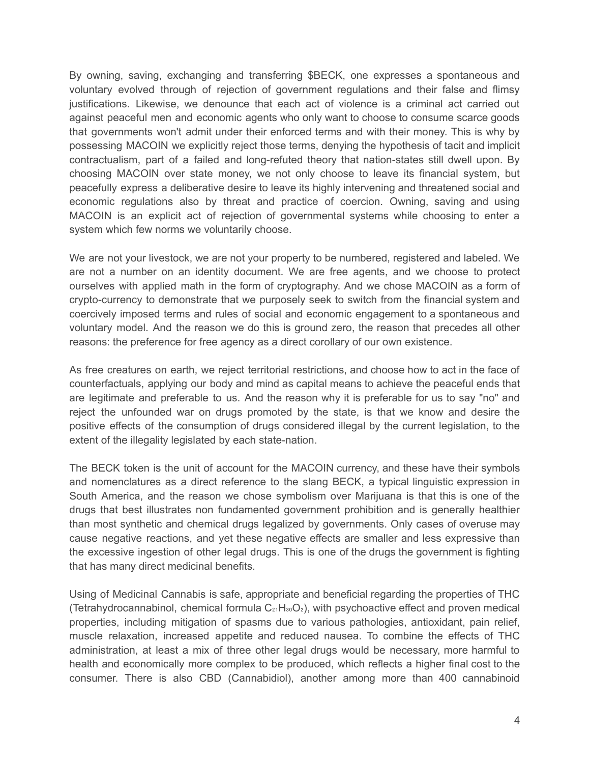By owning, saving, exchanging and transferring \$BECK, one expresses a spontaneous and voluntary evolved through of rejection of government regulations and their false and flimsy justifications. Likewise, we denounce that each act of violence is a criminal act carried out against peaceful men and economic agents who only want to choose to consume scarce goods that governments won't admit under their enforced terms and with their money. This is why by possessing MACOIN we explicitly reject those terms, denying the hypothesis of tacit and implicit contractualism, part of a failed and long-refuted theory that nation-states still dwell upon. By choosing MACOIN over state money, we not only choose to leave its financial system, but peacefully express a deliberative desire to leave its highly intervening and threatened social and economic regulations also by threat and practice of coercion. Owning, saving and using MACOIN is an explicit act of rejection of governmental systems while choosing to enter a system which few norms we voluntarily choose.

We are not your livestock, we are not your property to be numbered, registered and labeled. We are not a number on an identity document. We are free agents, and we choose to protect ourselves with applied math in the form of cryptography. And we chose MACOIN as a form of crypto-currency to demonstrate that we purposely seek to switch from the financial system and coercively imposed terms and rules of social and economic engagement to a spontaneous and voluntary model. And the reason we do this is ground zero, the reason that precedes all other reasons: the preference for free agency as a direct corollary of our own existence.

As free creatures on earth, we reject territorial restrictions, and choose how to act in the face of counterfactuals, applying our body and mind as capital means to achieve the peaceful ends that are legitimate and preferable to us. And the reason why it is preferable for us to say "no" and reject the unfounded war on drugs promoted by the state, is that we know and desire the positive effects of the consumption of drugs considered illegal by the current legislation, to the extent of the illegality legislated by each state-nation.

The BECK token is the unit of account for the MACOIN currency, and these have their symbols and nomenclatures as a direct reference to the slang BECK, a typical linguistic expression in South America, and the reason we chose symbolism over Marijuana is that this is one of the drugs that best illustrates non fundamented government prohibition and is generally healthier than most synthetic and chemical drugs legalized by governments. Only cases of overuse may cause negative reactions, and yet these negative effects are smaller and less expressive than the excessive ingestion of other legal drugs. This is one of the drugs the government is fighting that has many direct medicinal benefits.

Using of Medicinal Cannabis is safe, appropriate and beneficial regarding the properties of THC (Tetrahydrocannabinol, chemical formula  $C_{21}H_{30}O_2$ ), with psychoactive effect and proven medical properties, including mitigation of spasms due to various pathologies, antioxidant, pain relief, muscle relaxation, increased appetite and reduced nausea. To combine the effects of THC administration, at least a mix of three other legal drugs would be necessary, more harmful to health and economically more complex to be produced, which reflects a higher final cost to the consumer. There is also CBD (Cannabidiol), another among more than 400 cannabinoid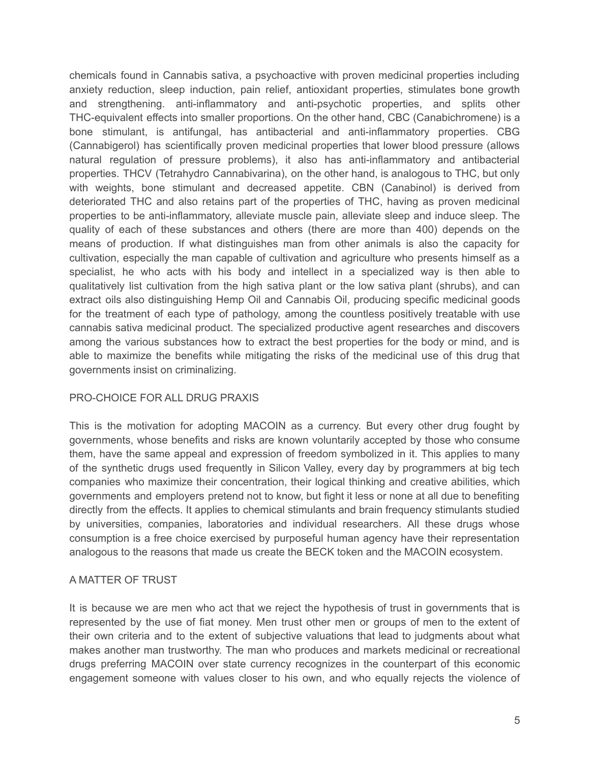chemicals found in Cannabis sativa, a psychoactive with proven medicinal properties including anxiety reduction, sleep induction, pain relief, antioxidant properties, stimulates bone growth and strengthening. anti-inflammatory and anti-psychotic properties, and splits other THC-equivalent effects into smaller proportions. On the other hand, CBC (Canabichromene) is a bone stimulant, is antifungal, has antibacterial and anti-inflammatory properties. CBG (Cannabigerol) has scientifically proven medicinal properties that lower blood pressure (allows natural regulation of pressure problems), it also has anti-inflammatory and antibacterial properties. THCV (Tetrahydro Cannabivarina), on the other hand, is analogous to THC, but only with weights, bone stimulant and decreased appetite. CBN (Canabinol) is derived from deteriorated THC and also retains part of the properties of THC, having as proven medicinal properties to be anti-inflammatory, alleviate muscle pain, alleviate sleep and induce sleep. The quality of each of these substances and others (there are more than 400) depends on the means of production. If what distinguishes man from other animals is also the capacity for cultivation, especially the man capable of cultivation and agriculture who presents himself as a specialist, he who acts with his body and intellect in a specialized way is then able to qualitatively list cultivation from the high sativa plant or the low sativa plant (shrubs), and can extract oils also distinguishing Hemp Oil and Cannabis Oil, producing specific medicinal goods for the treatment of each type of pathology, among the countless positively treatable with use cannabis sativa medicinal product. The specialized productive agent researches and discovers among the various substances how to extract the best properties for the body or mind, and is able to maximize the benefits while mitigating the risks of the medicinal use of this drug that governments insist on criminalizing.

### PRO-CHOICE FOR ALL DRUG PRAXIS

This is the motivation for adopting MACOIN as a currency. But every other drug fought by governments, whose benefits and risks are known voluntarily accepted by those who consume them, have the same appeal and expression of freedom symbolized in it. This applies to many of the synthetic drugs used frequently in Silicon Valley, every day by programmers at big tech companies who maximize their concentration, their logical thinking and creative abilities, which governments and employers pretend not to know, but fight it less or none at all due to benefiting directly from the effects. It applies to chemical stimulants and brain frequency stimulants studied by universities, companies, laboratories and individual researchers. All these drugs whose consumption is a free choice exercised by purposeful human agency have their representation analogous to the reasons that made us create the BECK token and the MACOIN ecosystem.

### A MATTER OF TRUST

It is because we are men who act that we reject the hypothesis of trust in governments that is represented by the use of fiat money. Men trust other men or groups of men to the extent of their own criteria and to the extent of subjective valuations that lead to judgments about what makes another man trustworthy. The man who produces and markets medicinal or recreational drugs preferring MACOIN over state currency recognizes in the counterpart of this economic engagement someone with values closer to his own, and who equally rejects the violence of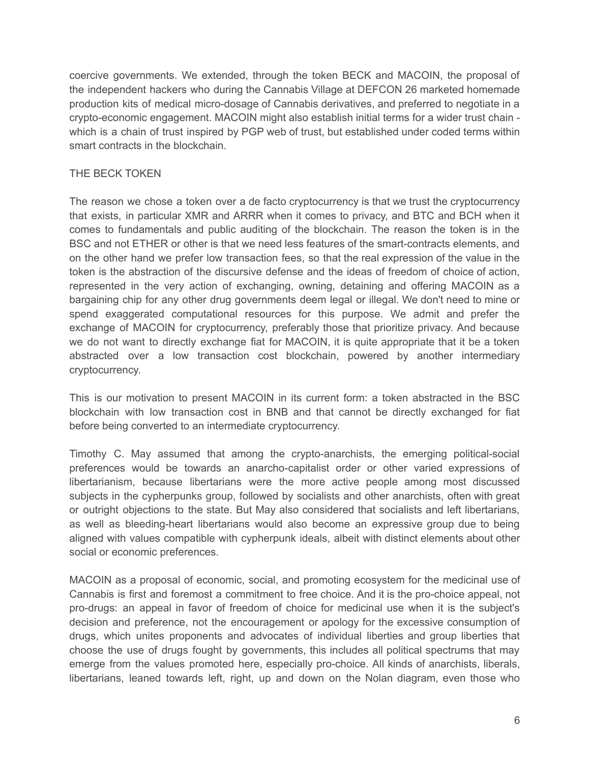coercive governments. We extended, through the token BECK and MACOIN, the proposal of the independent hackers who during the Cannabis Village at DEFCON 26 marketed homemade production kits of medical micro-dosage of Cannabis derivatives, and preferred to negotiate in a crypto-economic engagement. MACOIN might also establish initial terms for a wider trust chain which is a chain of trust inspired by PGP web of trust, but established under coded terms within smart contracts in the blockchain.

# THE BECK TOKEN

The reason we chose a token over a de facto cryptocurrency is that we trust the cryptocurrency that exists, in particular XMR and ARRR when it comes to privacy, and BTC and BCH when it comes to fundamentals and public auditing of the blockchain. The reason the token is in the BSC and not ETHER or other is that we need less features of the smart-contracts elements, and on the other hand we prefer low transaction fees, so that the real expression of the value in the token is the abstraction of the discursive defense and the ideas of freedom of choice of action, represented in the very action of exchanging, owning, detaining and offering MACOIN as a bargaining chip for any other drug governments deem legal or illegal. We don't need to mine or spend exaggerated computational resources for this purpose. We admit and prefer the exchange of MACOIN for cryptocurrency, preferably those that prioritize privacy. And because we do not want to directly exchange fiat for MACOIN, it is quite appropriate that it be a token abstracted over a low transaction cost blockchain, powered by another intermediary cryptocurrency.

This is our motivation to present MACOIN in its current form: a token abstracted in the BSC blockchain with low transaction cost in BNB and that cannot be directly exchanged for fiat before being converted to an intermediate cryptocurrency.

Timothy C. May assumed that among the crypto-anarchists, the emerging political-social preferences would be towards an anarcho-capitalist order or other varied expressions of libertarianism, because libertarians were the more active people among most discussed subjects in the cypherpunks group, followed by socialists and other anarchists, often with great or outright objections to the state. But May also considered that socialists and left libertarians, as well as bleeding-heart libertarians would also become an expressive group due to being aligned with values compatible with cypherpunk ideals, albeit with distinct elements about other social or economic preferences.

MACOIN as a proposal of economic, social, and promoting ecosystem for the medicinal use of Cannabis is first and foremost a commitment to free choice. And it is the pro-choice appeal, not pro-drugs: an appeal in favor of freedom of choice for medicinal use when it is the subject's decision and preference, not the encouragement or apology for the excessive consumption of drugs, which unites proponents and advocates of individual liberties and group liberties that choose the use of drugs fought by governments, this includes all political spectrums that may emerge from the values promoted here, especially pro-choice. All kinds of anarchists, liberals, libertarians, leaned towards left, right, up and down on the Nolan diagram, even those who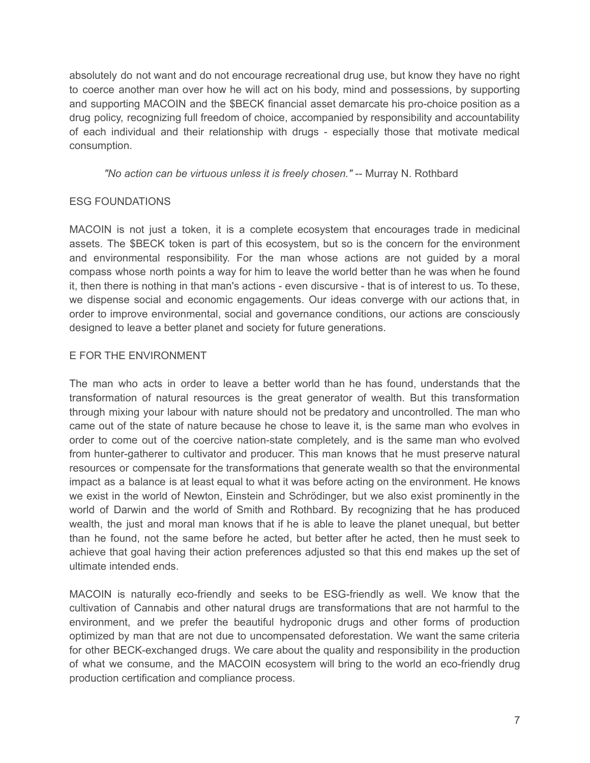absolutely do not want and do not encourage recreational drug use, but know they have no right to coerce another man over how he will act on his body, mind and possessions, by supporting and supporting MACOIN and the \$BECK financial asset demarcate his pro-choice position as a drug policy, recognizing full freedom of choice, accompanied by responsibility and accountability of each individual and their relationship with drugs - especially those that motivate medical consumption.

*"No action can be virtuous unless it is freely chosen."* -- Murray N. Rothbard

# ESG FOUNDATIONS

MACOIN is not just a token, it is a complete ecosystem that encourages trade in medicinal assets. The \$BECK token is part of this ecosystem, but so is the concern for the environment and environmental responsibility. For the man whose actions are not guided by a moral compass whose north points a way for him to leave the world better than he was when he found it, then there is nothing in that man's actions - even discursive - that is of interest to us. To these, we dispense social and economic engagements. Our ideas converge with our actions that, in order to improve environmental, social and governance conditions, our actions are consciously designed to leave a better planet and society for future generations.

# E FOR THE ENVIRONMENT

The man who acts in order to leave a better world than he has found, understands that the transformation of natural resources is the great generator of wealth. But this transformation through mixing your labour with nature should not be predatory and uncontrolled. The man who came out of the state of nature because he chose to leave it, is the same man who evolves in order to come out of the coercive nation-state completely, and is the same man who evolved from hunter-gatherer to cultivator and producer. This man knows that he must preserve natural resources or compensate for the transformations that generate wealth so that the environmental impact as a balance is at least equal to what it was before acting on the environment. He knows we exist in the world of Newton, Einstein and Schrödinger, but we also exist prominently in the world of Darwin and the world of Smith and Rothbard. By recognizing that he has produced wealth, the just and moral man knows that if he is able to leave the planet unequal, but better than he found, not the same before he acted, but better after he acted, then he must seek to achieve that goal having their action preferences adjusted so that this end makes up the set of ultimate intended ends.

MACOIN is naturally eco-friendly and seeks to be ESG-friendly as well. We know that the cultivation of Cannabis and other natural drugs are transformations that are not harmful to the environment, and we prefer the beautiful hydroponic drugs and other forms of production optimized by man that are not due to uncompensated deforestation. We want the same criteria for other BECK-exchanged drugs. We care about the quality and responsibility in the production of what we consume, and the MACOIN ecosystem will bring to the world an eco-friendly drug production certification and compliance process.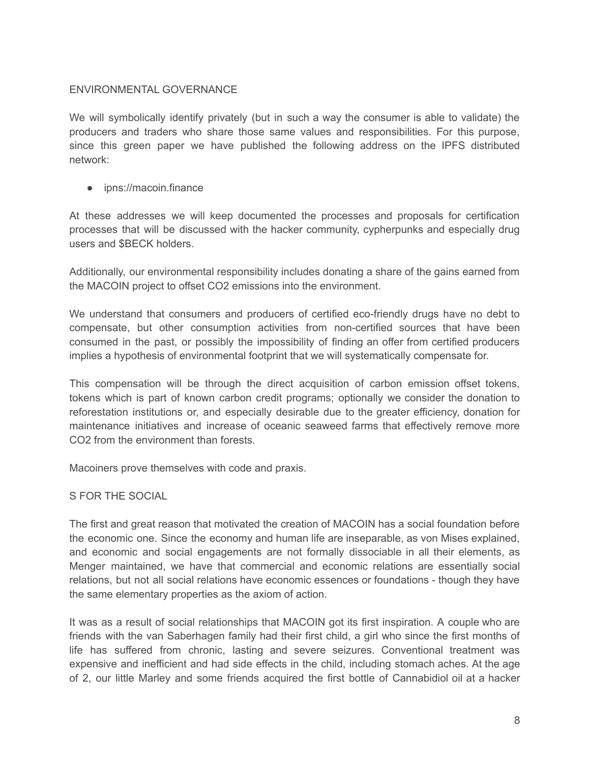# ENVIRONMENTAL GOVERNANCE

We will symbolically identify privately (but in such a way the consumer is able to validate) the producers and traders who share those same values and responsibilities. For this purpose, since this green paper we have published the following address on the IPFS distributed network:

● ipns://macoin.finance

At these addresses we will keep documented the processes and proposals for certification processes that will be discussed with the hacker community, cypherpunks and especially drug users and \$BECK holders.

Additionally, our environmental responsibility includes donating a share of the gains earned from the MACOIN project to offset CO2 emissions into the environment.

We understand that consumers and producers of certified eco-friendly drugs have no debt to compensate, but other consumption activities from non-certified sources that have been consumed in the past, or possibly the impossibility of finding an offer from certified producers implies a hypothesis of environmental footprint that we will systematically compensate for.

This compensation will be through the direct acquisition of carbon emission offset tokens, tokens which is part of known carbon credit programs; optionally we consider the donation to reforestation institutions or, and especially desirable due to the greater efficiency, donation for maintenance initiatives and increase of oceanic seaweed farms that effectively remove more CO2 from the environment than forests.

Macoiners prove themselves with code and praxis.

S FOR THE SOCIAL

The first and great reason that motivated the creation of MACOIN has a social foundation before the economic one. Since the economy and human life are inseparable, as von Mises explained, and economic and social engagements are not formally dissociable in all their elements, as Menger maintained, we have that commercial and economic relations are essentially social relations, but not all social relations have economic essences or foundations - though they have the same elementary properties as the axiom of action.

It was as a result of social relationships that MACOIN got its first inspiration. A couple who are friends with the van Saberhagen family had their first child, a girl who since the first months of life has suffered from chronic, lasting and severe seizures. Conventional treatment was expensive and inefficient and had side effects in the child, including stomach aches. At the age of 2, our little Marley and some friends acquired the first bottle of Cannabidiol oil at a hacker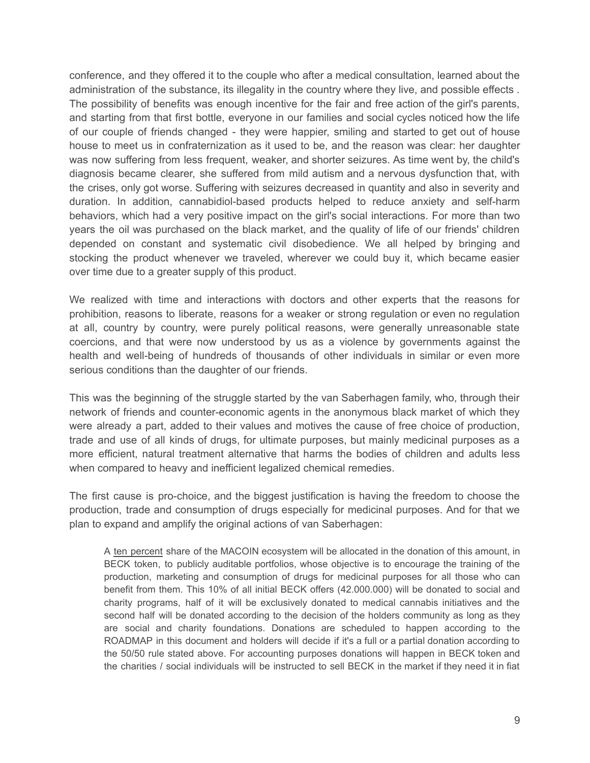conference, and they offered it to the couple who after a medical consultation, learned about the administration of the substance, its illegality in the country where they live, and possible effects . The possibility of benefits was enough incentive for the fair and free action of the girl's parents, and starting from that first bottle, everyone in our families and social cycles noticed how the life of our couple of friends changed - they were happier, smiling and started to get out of house house to meet us in confraternization as it used to be, and the reason was clear: her daughter was now suffering from less frequent, weaker, and shorter seizures. As time went by, the child's diagnosis became clearer, she suffered from mild autism and a nervous dysfunction that, with the crises, only got worse. Suffering with seizures decreased in quantity and also in severity and duration. In addition, cannabidiol-based products helped to reduce anxiety and self-harm behaviors, which had a very positive impact on the girl's social interactions. For more than two years the oil was purchased on the black market, and the quality of life of our friends' children depended on constant and systematic civil disobedience. We all helped by bringing and stocking the product whenever we traveled, wherever we could buy it, which became easier over time due to a greater supply of this product.

We realized with time and interactions with doctors and other experts that the reasons for prohibition, reasons to liberate, reasons for a weaker or strong regulation or even no regulation at all, country by country, were purely political reasons, were generally unreasonable state coercions, and that were now understood by us as a violence by governments against the health and well-being of hundreds of thousands of other individuals in similar or even more serious conditions than the daughter of our friends.

This was the beginning of the struggle started by the van Saberhagen family, who, through their network of friends and counter-economic agents in the anonymous black market of which they were already a part, added to their values and motives the cause of free choice of production, trade and use of all kinds of drugs, for ultimate purposes, but mainly medicinal purposes as a more efficient, natural treatment alternative that harms the bodies of children and adults less when compared to heavy and inefficient legalized chemical remedies.

The first cause is pro-choice, and the biggest justification is having the freedom to choose the production, trade and consumption of drugs especially for medicinal purposes. And for that we plan to expand and amplify the original actions of van Saberhagen:

A ten percent share of the MACOIN ecosystem will be allocated in the donation of this amount, in BECK token, to publicly auditable portfolios, whose objective is to encourage the training of the production, marketing and consumption of drugs for medicinal purposes for all those who can benefit from them. This 10% of all initial BECK offers (42.000.000) will be donated to social and charity programs, half of it will be exclusively donated to medical cannabis initiatives and the second half will be donated according to the decision of the holders community as long as they are social and charity foundations. Donations are scheduled to happen according to the ROADMAP in this document and holders will decide if it's a full or a partial donation according to the 50/50 rule stated above. For accounting purposes donations will happen in BECK token and the charities / social individuals will be instructed to sell BECK in the market if they need it in fiat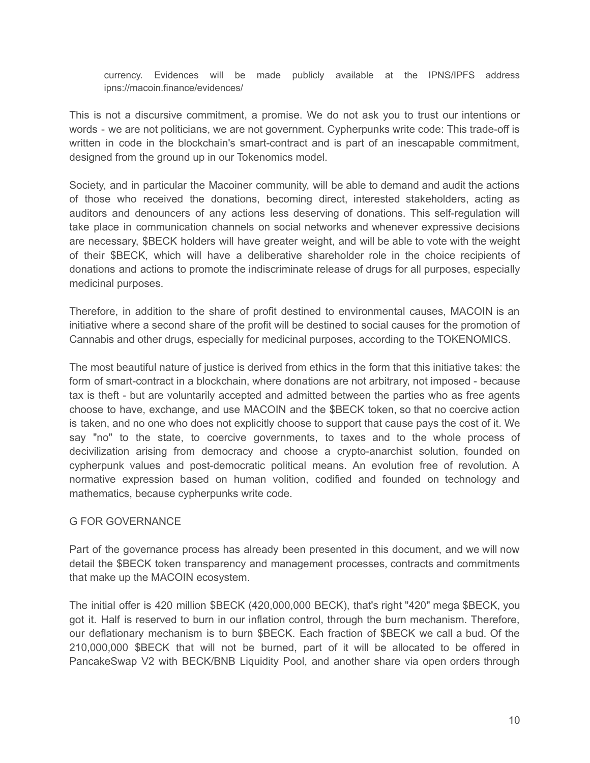currency. Evidences will be made publicly available at the IPNS/IPFS address ipns://macoin.finance/evidences/

This is not a discursive commitment, a promise. We do not ask you to trust our intentions or words - we are not politicians, we are not government. Cypherpunks write code: This trade-off is written in code in the blockchain's smart-contract and is part of an inescapable commitment, designed from the ground up in our Tokenomics model.

Society, and in particular the Macoiner community, will be able to demand and audit the actions of those who received the donations, becoming direct, interested stakeholders, acting as auditors and denouncers of any actions less deserving of donations. This self-regulation will take place in communication channels on social networks and whenever expressive decisions are necessary, \$BECK holders will have greater weight, and will be able to vote with the weight of their \$BECK, which will have a deliberative shareholder role in the choice recipients of donations and actions to promote the indiscriminate release of drugs for all purposes, especially medicinal purposes.

Therefore, in addition to the share of profit destined to environmental causes, MACOIN is an initiative where a second share of the profit will be destined to social causes for the promotion of Cannabis and other drugs, especially for medicinal purposes, according to the TOKENOMICS.

The most beautiful nature of justice is derived from ethics in the form that this initiative takes: the form of smart-contract in a blockchain, where donations are not arbitrary, not imposed - because tax is theft - but are voluntarily accepted and admitted between the parties who as free agents choose to have, exchange, and use MACOIN and the \$BECK token, so that no coercive action is taken, and no one who does not explicitly choose to support that cause pays the cost of it. We say "no" to the state, to coercive governments, to taxes and to the whole process of decivilization arising from democracy and choose a crypto-anarchist solution, founded on cypherpunk values and post-democratic political means. An evolution free of revolution. A normative expression based on human volition, codified and founded on technology and mathematics, because cypherpunks write code.

### G FOR GOVERNANCE

Part of the governance process has already been presented in this document, and we will now detail the \$BECK token transparency and management processes, contracts and commitments that make up the MACOIN ecosystem.

The initial offer is 420 million \$BECK (420,000,000 BECK), that's right "420" mega \$BECK, you got it. Half is reserved to burn in our inflation control, through the burn mechanism. Therefore, our deflationary mechanism is to burn \$BECK. Each fraction of \$BECK we call a bud. Of the 210,000,000 \$BECK that will not be burned, part of it will be allocated to be offered in PancakeSwap V2 with BECK/BNB Liquidity Pool, and another share via open orders through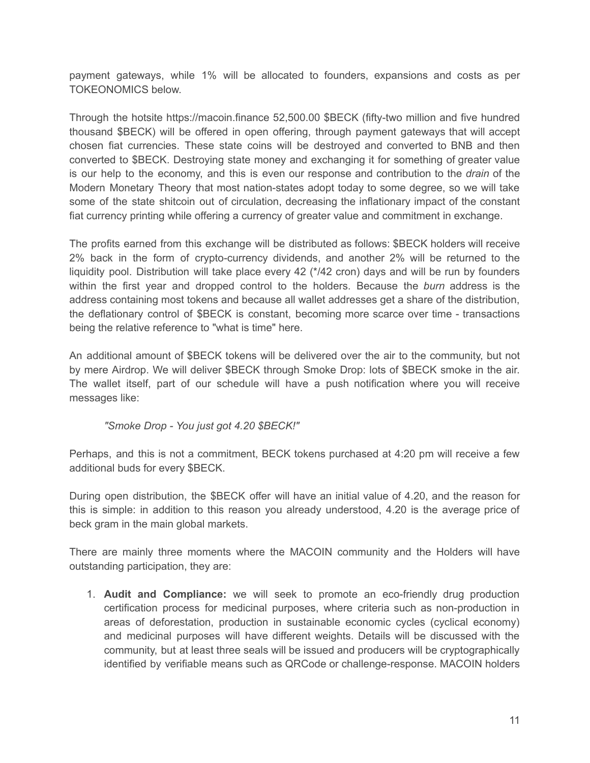payment gateways, while 1% will be allocated to founders, expansions and costs as per TOKEONOMICS below.

Through the hotsite https://macoin.finance 52,500.00 \$BECK (fifty-two million and five hundred thousand \$BECK) will be offered in open offering, through payment gateways that will accept chosen fiat currencies. These state coins will be destroyed and converted to BNB and then converted to \$BECK. Destroying state money and exchanging it for something of greater value is our help to the economy, and this is even our response and contribution to the *drain* of the Modern Monetary Theory that most nation-states adopt today to some degree, so we will take some of the state shitcoin out of circulation, decreasing the inflationary impact of the constant fiat currency printing while offering a currency of greater value and commitment in exchange.

The profits earned from this exchange will be distributed as follows: \$BECK holders will receive 2% back in the form of crypto-currency dividends, and another 2% will be returned to the liquidity pool. Distribution will take place every 42 (\*/42 cron) days and will be run by founders within the first year and dropped control to the holders. Because the *burn* address is the address containing most tokens and because all wallet addresses get a share of the distribution, the deflationary control of \$BECK is constant, becoming more scarce over time - transactions being the relative reference to "what is time" here.

An additional amount of \$BECK tokens will be delivered over the air to the community, but not by mere Airdrop. We will deliver \$BECK through Smoke Drop: lots of \$BECK smoke in the air. The wallet itself, part of our schedule will have a push notification where you will receive messages like:

# *"Smoke Drop - You just got 4.20 \$BECK!"*

Perhaps, and this is not a commitment, BECK tokens purchased at 4:20 pm will receive a few additional buds for every \$BECK.

During open distribution, the \$BECK offer will have an initial value of 4.20, and the reason for this is simple: in addition to this reason you already understood, 4.20 is the average price of beck gram in the main global markets.

There are mainly three moments where the MACOIN community and the Holders will have outstanding participation, they are:

1. **Audit and Compliance:** we will seek to promote an eco-friendly drug production certification process for medicinal purposes, where criteria such as non-production in areas of deforestation, production in sustainable economic cycles (cyclical economy) and medicinal purposes will have different weights. Details will be discussed with the community, but at least three seals will be issued and producers will be cryptographically identified by verifiable means such as QRCode or challenge-response. MACOIN holders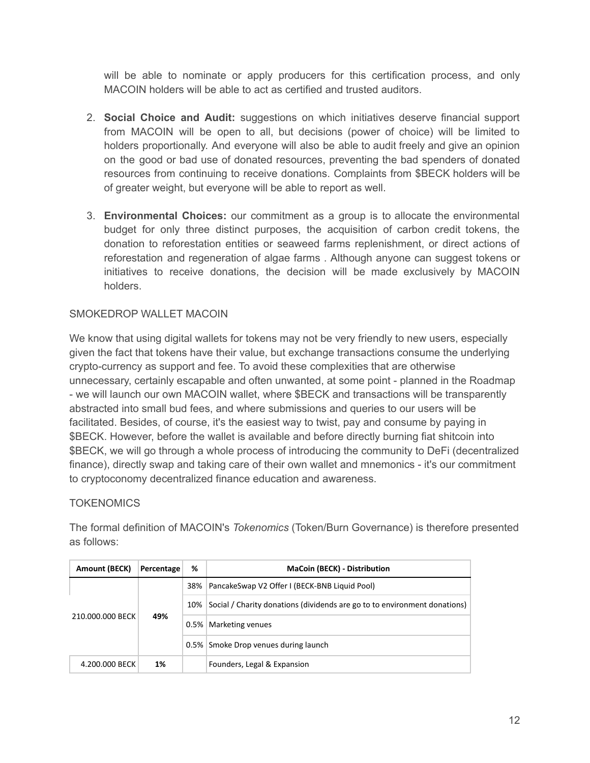will be able to nominate or apply producers for this certification process, and only MACOIN holders will be able to act as certified and trusted auditors.

- 2. **Social Choice and Audit:** suggestions on which initiatives deserve financial support from MACOIN will be open to all, but decisions (power of choice) will be limited to holders proportionally. And everyone will also be able to audit freely and give an opinion on the good or bad use of donated resources, preventing the bad spenders of donated resources from continuing to receive donations. Complaints from \$BECK holders will be of greater weight, but everyone will be able to report as well.
- 3. **Environmental Choices:** our commitment as a group is to allocate the environmental budget for only three distinct purposes, the acquisition of carbon credit tokens, the donation to reforestation entities or seaweed farms replenishment, or direct actions of reforestation and regeneration of algae farms . Although anyone can suggest tokens or initiatives to receive donations, the decision will be made exclusively by MACOIN holders.

# SMOKEDROP WALLET MACOIN

We know that using digital wallets for tokens may not be very friendly to new users, especially given the fact that tokens have their value, but exchange transactions consume the underlying crypto-currency as support and fee. To avoid these complexities that are otherwise unnecessary, certainly escapable and often unwanted, at some point - planned in the Roadmap - we will launch our own MACOIN wallet, where \$BECK and transactions will be transparently abstracted into small bud fees, and where submissions and queries to our users will be facilitated. Besides, of course, it's the easiest way to twist, pay and consume by paying in \$BECK. However, before the wallet is available and before directly burning fiat shitcoin into \$BECK, we will go through a whole process of introducing the community to DeFi (decentralized finance), directly swap and taking care of their own wallet and mnemonics - it's our commitment to cryptoconomy decentralized finance education and awareness.

# **TOKENOMICS**

The formal definition of MACOIN's *Tokenomics* (Token/Burn Governance) is therefore presented as follows:

| Amount (BECK)    | Percentage | ℅       | <b>MaCoin (BECK) - Distribution</b>                                       |
|------------------|------------|---------|---------------------------------------------------------------------------|
| 210.000.000 BECK | 49%        |         | 38%   PancakeSwap V2 Offer I (BECK-BNB Liquid Pool)                       |
|                  |            | $10\%$  | Social / Charity donations (dividends are go to to environment donations) |
|                  |            | $0.5\%$ | Marketing venues                                                          |
|                  |            |         | 0.5% Smoke Drop venues during launch                                      |
| 4.200.000 BECK   | 1%         |         | Founders, Legal & Expansion                                               |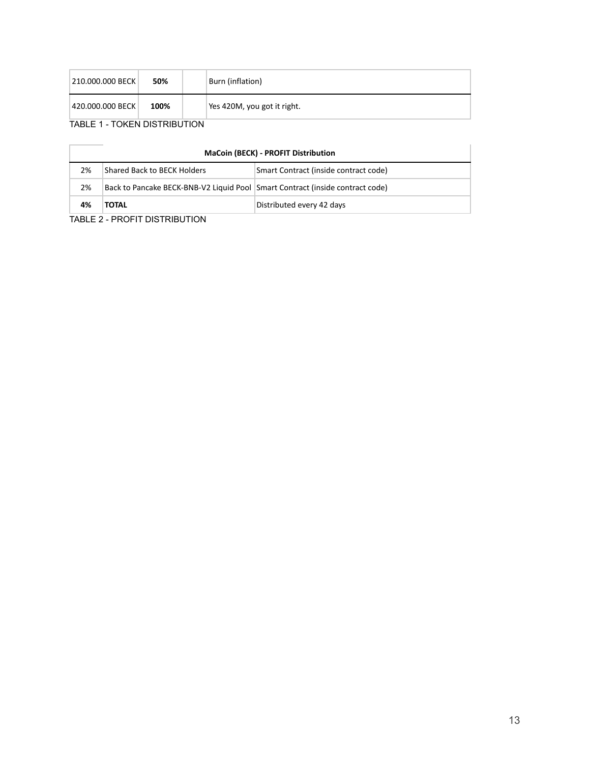| 210.000.000 BECK | 50%  | Burn (inflation)            |
|------------------|------|-----------------------------|
| 420.000.000 BECK | 100% | Yes 420M, you got it right. |

# TABLE 1 - TOKEN DISTRIBUTION

| <b>MaCoin (BECK) - PROFIT Distribution</b> |                                                                               |                                       |  |  |  |  |  |
|--------------------------------------------|-------------------------------------------------------------------------------|---------------------------------------|--|--|--|--|--|
| 2%                                         | Shared Back to BECK Holders                                                   | Smart Contract (inside contract code) |  |  |  |  |  |
| 2%                                         | Back to Pancake BECK-BNB-V2 Liquid Pool Smart Contract (inside contract code) |                                       |  |  |  |  |  |
| 4%                                         | <b>TOTAL</b>                                                                  | Distributed every 42 days             |  |  |  |  |  |

#### TABLE 2 - PROFIT DISTRIBUTION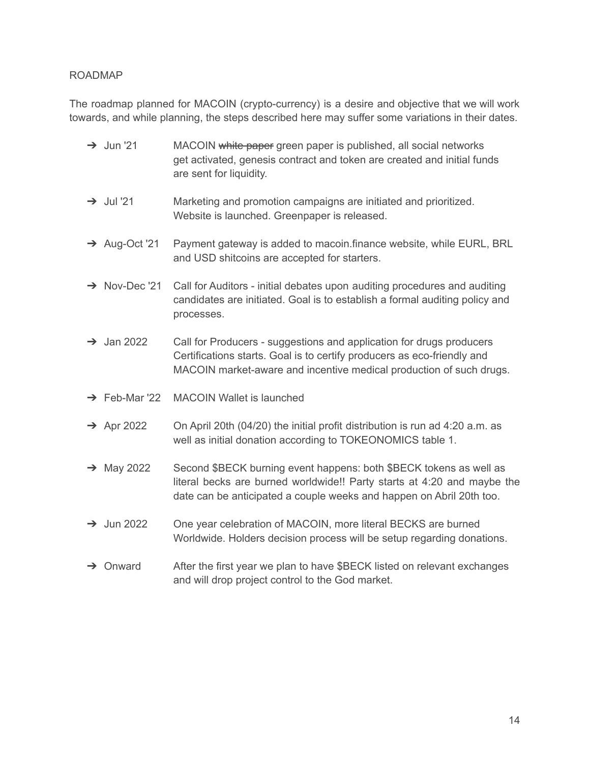## ROADMAP

The roadmap planned for MACOIN (crypto-currency) is a desire and objective that we will work towards, and while planning, the steps described here may suffer some variations in their dates.

- → Jun '21 MACOIN white paper green paper is published, all social networks get activated, genesis contract and token are created and initial funds are sent for liquidity.
- → Jul '21 Marketing and promotion campaigns are initiated and prioritized. Website is launched. Greenpaper is released.
- → Aug-Oct '21 Payment gateway is added to macoin.finance website, while EURL, BRL and USD shitcoins are accepted for starters.
- → Nov-Dec '21 Call for Auditors initial debates upon auditing procedures and auditing candidates are initiated. Goal is to establish a formal auditing policy and processes.
- $\rightarrow$  Jan 2022 Call for Producers suggestions and application for drugs producers Certifications starts. Goal is to certify producers as eco-friendly and MACOIN market-aware and incentive medical production of such drugs.
- ➔ Feb-Mar '22 MACOIN Wallet is launched
- $\rightarrow$  Apr 2022 On April 20th (04/20) the initial profit distribution is run ad 4:20 a.m. as well as initial donation according to TOKEONOMICS table 1.
- → May 2022 Second \$BECK burning event happens: both \$BECK tokens as well as literal becks are burned worldwide!! Party starts at 4:20 and maybe the date can be anticipated a couple weeks and happen on Abril 20th too.
- ➔ Jun 2022 One year celebration of MACOIN, more literal BECKS are burned Worldwide. Holders decision process will be setup regarding donations.
- → Onward After the first year we plan to have \$BECK listed on relevant exchanges and will drop project control to the God market.